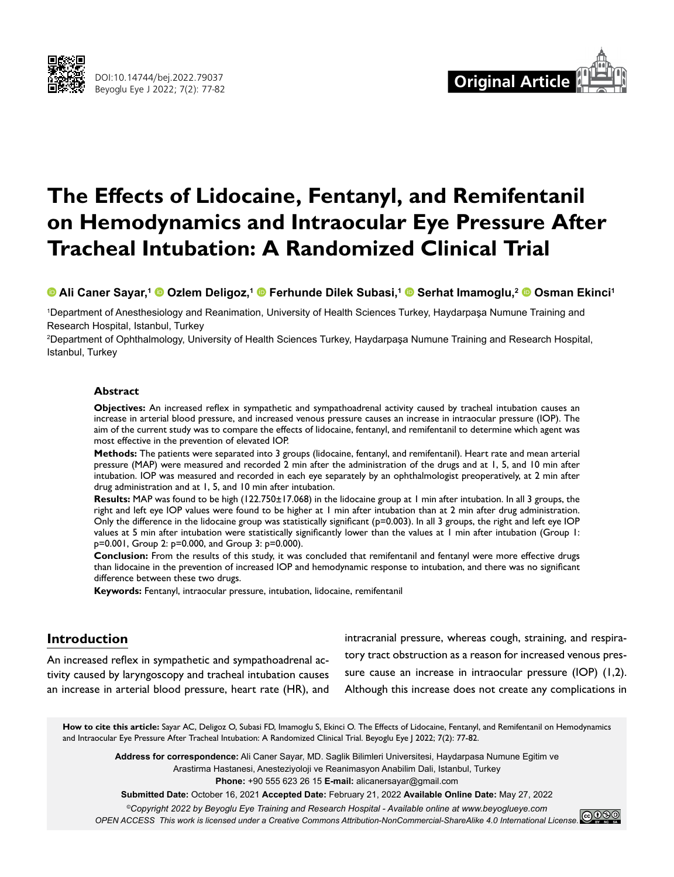



# **The Effects of Lidocaine, Fentanyl, and Remifentanil on Hemodynamics and Intraocular Eye Pressure After Tracheal Intubation: A Randomized Clinical Trial**

**Ali Caner Sayar,1Ozlem Deligoz,1Ferhunde Dilek Subasi,1Serhat Imamoglu,2Osman Ekinci1**

1 Department of Anesthesiology and Reanimation, University of Health Sciences Turkey, Haydarpaşa Numune Training and Research Hospital, Istanbul, Turkey

2 Department of Ophthalmology, University of Health Sciences Turkey, Haydarpaşa Numune Training and Research Hospital, Istanbul, Turkey

## **Abstract**

**Objectives:** An increased reflex in sympathetic and sympathoadrenal activity caused by tracheal intubation causes an increase in arterial blood pressure, and increased venous pressure causes an increase in intraocular pressure (IOP). The aim of the current study was to compare the effects of lidocaine, fentanyl, and remifentanil to determine which agent was most effective in the prevention of elevated IOP.

**Methods:** The patients were separated into 3 groups (lidocaine, fentanyl, and remifentanil). Heart rate and mean arterial pressure (MAP) were measured and recorded 2 min after the administration of the drugs and at 1, 5, and 10 min after intubation. IOP was measured and recorded in each eye separately by an ophthalmologist preoperatively, at 2 min after drug administration and at 1, 5, and 10 min after intubation.

**Results:** MAP was found to be high (122.750±17.068) in the lidocaine group at 1 min after intubation. In all 3 groups, the right and left eye IOP values were found to be higher at 1 min after intubation than at 2 min after drug administration. Only the difference in the lidocaine group was statistically significant (p=0.003). In all 3 groups, the right and left eye IOP values at 5 min after intubation were statistically significantly lower than the values at 1 min after intubation (Group 1: p=0.001, Group 2: p=0.000, and Group 3: p=0.000).

**Conclusion:** From the results of this study, it was concluded that remifentanil and fentanyl were more effective drugs than lidocaine in the prevention of increased IOP and hemodynamic response to intubation, and there was no significant difference between these two drugs.

**Keywords:** Fentanyl, intraocular pressure, intubation, lidocaine, remifentanil

# **Introduction**

An increased reflex in sympathetic and sympathoadrenal activity caused by laryngoscopy and tracheal intubation causes an increase in arterial blood pressure, heart rate (HR), and intracranial pressure, whereas cough, straining, and respiratory tract obstruction as a reason for increased venous pressure cause an increase in intraocular pressure (IOP) (1,2). Although this increase does not create any complications in

**How to cite this article:** Sayar AC, Deligoz O, Subasi FD, Imamoglu S, Ekinci O. The Effects of Lidocaine, Fentanyl, and Remifentanil on Hemodynamics and Intraocular Eye Pressure After Tracheal Intubation: A Randomized Clinical Trial. Beyoglu Eye J 2022; 7(2): 77-82.

**Address for correspondence:** Ali Caner Sayar, MD. Saglik Bilimleri Universitesi, Haydarpasa Numune Egitim ve Arastirma Hastanesi, Anesteziyoloji ve Reanimasyon Anabilim Dali, Istanbul, Turkey **Phone:** +90 555 623 26 15 **E-mail:** alicanersayar@gmail.com

**Submitted Date:** October 16, 2021 **Accepted Date:** February 21, 2022 **Available Online Date:** May 27, 2022

*©Copyright 2022 by Beyoglu Eye Training and Research Hospital - Available online at www.beyoglueye.com OPEN ACCESS This work is licensed under a Creative Commons Attribution-NonCommercial-ShareAlike 4.0 International License.*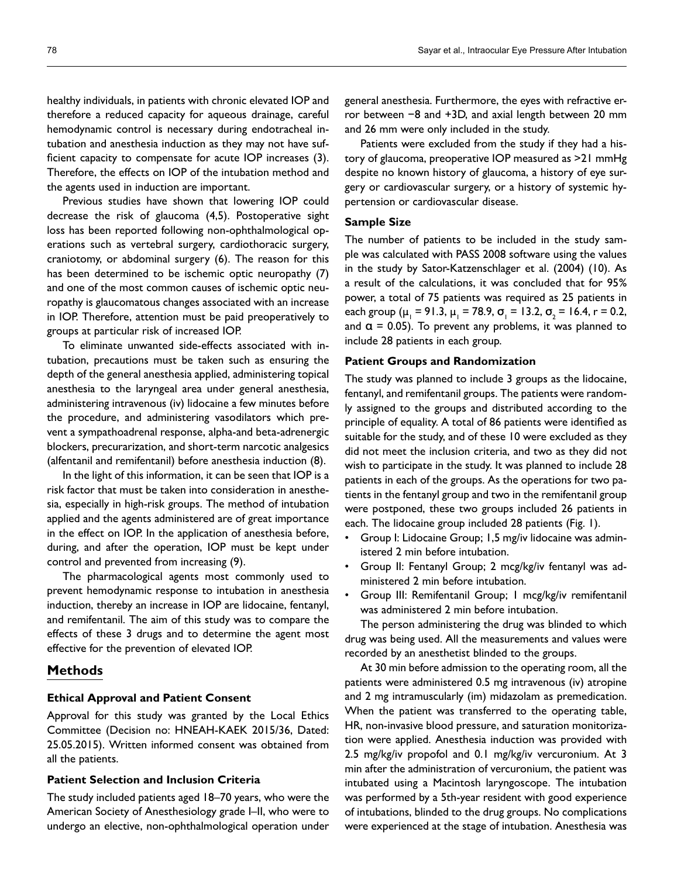healthy individuals, in patients with chronic elevated IOP and therefore a reduced capacity for aqueous drainage, careful hemodynamic control is necessary during endotracheal intubation and anesthesia induction as they may not have sufficient capacity to compensate for acute IOP increases (3). Therefore, the effects on IOP of the intubation method and the agents used in induction are important.

Previous studies have shown that lowering IOP could decrease the risk of glaucoma (4,5). Postoperative sight loss has been reported following non-ophthalmological operations such as vertebral surgery, cardiothoracic surgery, craniotomy, or abdominal surgery (6). The reason for this has been determined to be ischemic optic neuropathy (7) and one of the most common causes of ischemic optic neuropathy is glaucomatous changes associated with an increase in IOP. Therefore, attention must be paid preoperatively to groups at particular risk of increased IOP.

To eliminate unwanted side-effects associated with intubation, precautions must be taken such as ensuring the depth of the general anesthesia applied, administering topical anesthesia to the laryngeal area under general anesthesia, administering intravenous (iv) lidocaine a few minutes before the procedure, and administering vasodilators which prevent a sympathoadrenal response, alpha-and beta-adrenergic blockers, precurarization, and short-term narcotic analgesics (alfentanil and remifentanil) before anesthesia induction (8).

In the light of this information, it can be seen that IOP is a risk factor that must be taken into consideration in anesthesia, especially in high-risk groups. The method of intubation applied and the agents administered are of great importance in the effect on IOP. In the application of anesthesia before, during, and after the operation, IOP must be kept under control and prevented from increasing (9).

The pharmacological agents most commonly used to prevent hemodynamic response to intubation in anesthesia induction, thereby an increase in IOP are lidocaine, fentanyl, and remifentanil. The aim of this study was to compare the effects of these 3 drugs and to determine the agent most effective for the prevention of elevated IOP.

# **Methods**

### **Ethical Approval and Patient Consent**

Approval for this study was granted by the Local Ethics Committee (Decision no: HNEAH-KAEK 2015/36, Dated: 25.05.2015). Written informed consent was obtained from all the patients.

## **Patient Selection and Inclusion Criteria**

The study included patients aged 18–70 years, who were the American Society of Anesthesiology grade I–II, who were to undergo an elective, non-ophthalmological operation under general anesthesia. Furthermore, the eyes with refractive error between −8 and +3D, and axial length between 20 mm and 26 mm were only included in the study.

Patients were excluded from the study if they had a history of glaucoma, preoperative IOP measured as >21 mmHg despite no known history of glaucoma, a history of eye surgery or cardiovascular surgery, or a history of systemic hypertension or cardiovascular disease.

# **Sample Size**

The number of patients to be included in the study sample was calculated with PASS 2008 software using the values in the study by Sator-Katzenschlager et al. (2004) (10). As a result of the calculations, it was concluded that for 95% power, a total of 75 patients was required as 25 patients in each group ( $\mu_1$  = 91.3,  $\mu_1$  = 78.9,  $\sigma_1$  = 13.2,  $\sigma_2$  = 16.4, r = 0.2, and  $\alpha$  = 0.05). To prevent any problems, it was planned to include 28 patients in each group.

### **Patient Groups and Randomization**

The study was planned to include 3 groups as the lidocaine, fentanyl, and remifentanil groups. The patients were randomly assigned to the groups and distributed according to the principle of equality. A total of 86 patients were identified as suitable for the study, and of these 10 were excluded as they did not meet the inclusion criteria, and two as they did not wish to participate in the study. It was planned to include 28 patients in each of the groups. As the operations for two patients in the fentanyl group and two in the remifentanil group were postponed, these two groups included 26 patients in each. The lidocaine group included 28 patients (Fig. 1).

- Group I: Lidocaine Group; 1,5 mg/iv lidocaine was administered 2 min before intubation.
- Group II: Fentanyl Group; 2 mcg/kg/iv fentanyl was administered 2 min before intubation.
- Group III: Remifentanil Group; 1 mcg/kg/iv remifentanil was administered 2 min before intubation.

The person administering the drug was blinded to which drug was being used. All the measurements and values were recorded by an anesthetist blinded to the groups.

At 30 min before admission to the operating room, all the patients were administered 0.5 mg intravenous (iv) atropine and 2 mg intramuscularly (im) midazolam as premedication. When the patient was transferred to the operating table, HR, non-invasive blood pressure, and saturation monitorization were applied. Anesthesia induction was provided with 2.5 mg/kg/iv propofol and 0.1 mg/kg/iv vercuronium. At 3 min after the administration of vercuronium, the patient was intubated using a Macintosh laryngoscope. The intubation was performed by a 5th-year resident with good experience of intubations, blinded to the drug groups. No complications were experienced at the stage of intubation. Anesthesia was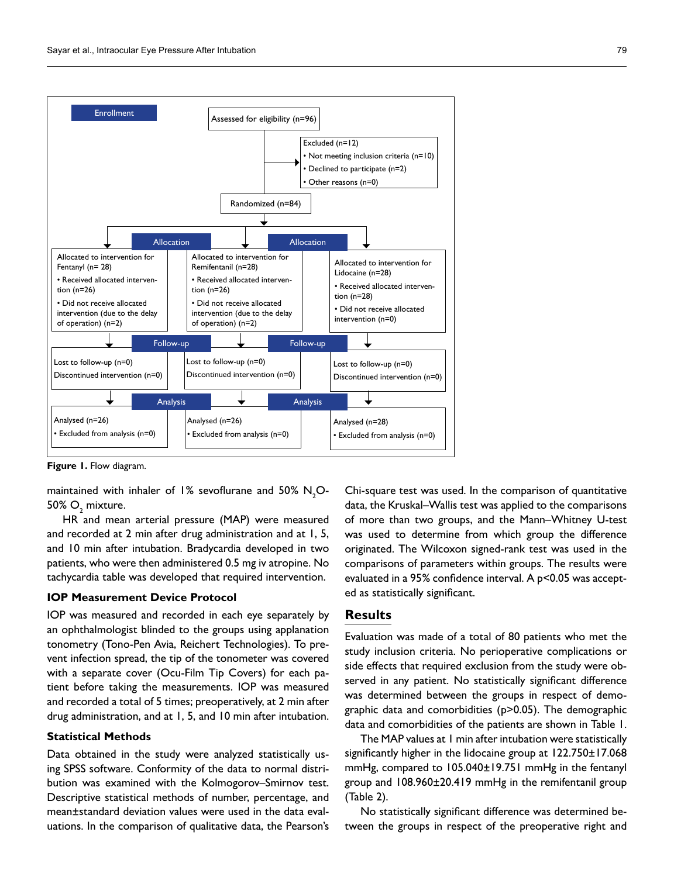

**Figure 1.** Flow diagram.

maintained with inhaler of 1% sevoflurane and 50%  $\mathsf{N}_{\mathsf{2}}\mathsf{O}$ - $50\%$   $\mathrm{O}_2$  mixture.

HR and mean arterial pressure (MAP) were measured and recorded at 2 min after drug administration and at 1, 5, and 10 min after intubation. Bradycardia developed in two patients, who were then administered 0.5 mg iv atropine. No tachycardia table was developed that required intervention.

# **IOP Measurement Device Protocol**

IOP was measured and recorded in each eye separately by an ophthalmologist blinded to the groups using applanation tonometry (Tono-Pen Avia, Reichert Technologies). To prevent infection spread, the tip of the tonometer was covered with a separate cover (Ocu-Film Tip Covers) for each patient before taking the measurements. IOP was measured and recorded a total of 5 times; preoperatively, at 2 min after drug administration, and at 1, 5, and 10 min after intubation.

# **Statistical Methods**

Data obtained in the study were analyzed statistically using SPSS software. Conformity of the data to normal distribution was examined with the Kolmogorov–Smirnov test. Descriptive statistical methods of number, percentage, and mean±standard deviation values were used in the data evaluations. In the comparison of qualitative data, the Pearson's Chi-square test was used. In the comparison of quantitative data, the Kruskal–Wallis test was applied to the comparisons of more than two groups, and the Mann–Whitney U-test was used to determine from which group the difference originated. The Wilcoxon signed-rank test was used in the comparisons of parameters within groups. The results were evaluated in a 95% confidence interval. A p<0.05 was accepted as statistically significant.

# **Results**

Evaluation was made of a total of 80 patients who met the study inclusion criteria. No perioperative complications or side effects that required exclusion from the study were observed in any patient. No statistically significant difference was determined between the groups in respect of demographic data and comorbidities (p>0.05). The demographic data and comorbidities of the patients are shown in Table 1.

The MAP values at 1 min after intubation were statistically significantly higher in the lidocaine group at 122.750±17.068 mmHg, compared to 105.040±19.751 mmHg in the fentanyl group and 108.960±20.419 mmHg in the remifentanil group (Table 2).

No statistically significant difference was determined between the groups in respect of the preoperative right and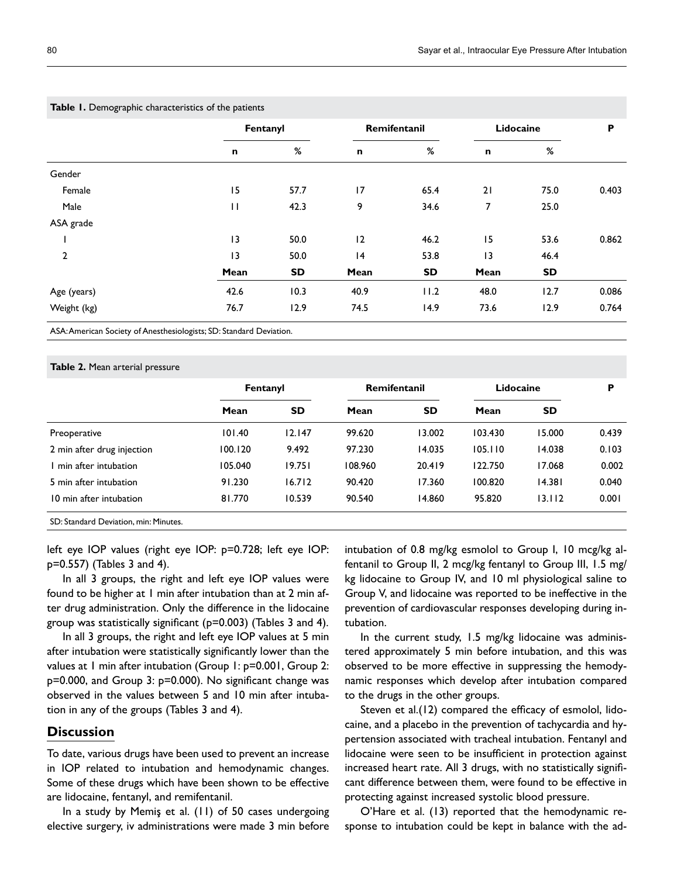| <b>Table 1.</b> Define applie characteristics of the patients |           |              |      |                 |      |       |
|---------------------------------------------------------------|-----------|--------------|------|-----------------|------|-------|
| Fentanyl                                                      |           | Remifentanil |      | Lidocaine       |      | P     |
| n                                                             | %         | $\mathsf{n}$ | %    | n               | %    |       |
|                                                               |           |              |      |                 |      |       |
| 15                                                            | 57.7      | 17           | 65.4 | 21              | 75.0 | 0.403 |
| $\mathbf{H}$                                                  | 42.3      | 9            | 34.6 | 7               | 25.0 |       |
|                                                               |           |              |      |                 |      |       |
| 13                                                            | 50.0      | 12           | 46.2 | 15              | 53.6 | 0.862 |
| $\overline{13}$                                               | 50.0      | 4            | 53.8 | $\overline{13}$ | 46.4 |       |
| Mean                                                          | <b>SD</b> | Mean         | SD   | Mean            | SD   |       |
| 42.6                                                          | 10.3      | 40.9         | 11.2 | 48.0            | 12.7 | 0.086 |
| 76.7                                                          | 12.9      | 74.5         | 14.9 | 73.6            | 12.9 | 0.764 |
|                                                               |           |              |      |                 |      |       |

**Table 1.** Demographic characteristics of the patie

ASA: American Society of Anesthesiologists; SD: Standard Deviation.

### **Table 2.** Mean arterial pressure

|                                                                 | Fentanyl |           | Remifentanil |           | Lidocaine |        | P     |
|-----------------------------------------------------------------|----------|-----------|--------------|-----------|-----------|--------|-------|
|                                                                 | Mean     | <b>SD</b> | Mean         | <b>SD</b> | Mean      | SD     |       |
| Preoperative                                                    | 101.40   | 12.147    | 99.620       | 13.002    | 103.430   | 15.000 | 0.439 |
| 2 min after drug injection                                      | 100.120  | 9.492     | 97.230       | 14.035    | 105.110   | 14.038 | 0.103 |
| min after intubation                                            | 105.040  | 19.751    | 108.960      | 20.419    | 122.750   | 17.068 | 0.002 |
| 5 min after intubation                                          | 91.230   | 16.712    | 90.420       | 17.360    | 100.820   | 14.381 | 0.040 |
| 10 min after intubation                                         | 81.770   | 10.539    | 90.540       | 14.860    | 95.820    | 13.112 | 0.001 |
| $\sim$ $\sim$ $\sim$ $\sim$ $\sim$<br>$\mathbf{r} = \mathbf{r}$ |          |           |              |           |           |        |       |

SD: Standard Deviation, min: Minutes.

left eye IOP values (right eye IOP: p=0.728; left eye IOP: p=0.557) (Tables 3 and 4).

In all 3 groups, the right and left eye IOP values were found to be higher at 1 min after intubation than at 2 min after drug administration. Only the difference in the lidocaine group was statistically significant (p=0.003) (Tables 3 and 4).

In all 3 groups, the right and left eye IOP values at 5 min after intubation were statistically significantly lower than the values at 1 min after intubation (Group 1: p=0.001, Group 2: p=0.000, and Group 3: p=0.000). No significant change was observed in the values between 5 and 10 min after intubation in any of the groups (Tables 3 and 4).

# **Discussion**

To date, various drugs have been used to prevent an increase in IOP related to intubation and hemodynamic changes. Some of these drugs which have been shown to be effective are lidocaine, fentanyl, and remifentanil.

In a study by Memiş et al. (11) of 50 cases undergoing elective surgery, iv administrations were made 3 min before intubation of 0.8 mg/kg esmolol to Group I, 10 mcg/kg alfentanil to Group II, 2 mcg/kg fentanyl to Group III, 1.5 mg/ kg lidocaine to Group IV, and 10 ml physiological saline to Group V, and lidocaine was reported to be ineffective in the prevention of cardiovascular responses developing during intubation.

In the current study, 1.5 mg/kg lidocaine was administered approximately 5 min before intubation, and this was observed to be more effective in suppressing the hemodynamic responses which develop after intubation compared to the drugs in the other groups.

Steven et al.(12) compared the efficacy of esmolol, lidocaine, and a placebo in the prevention of tachycardia and hypertension associated with tracheal intubation. Fentanyl and lidocaine were seen to be insufficient in protection against increased heart rate. All 3 drugs, with no statistically significant difference between them, were found to be effective in protecting against increased systolic blood pressure.

O'Hare et al. (13) reported that the hemodynamic response to intubation could be kept in balance with the ad-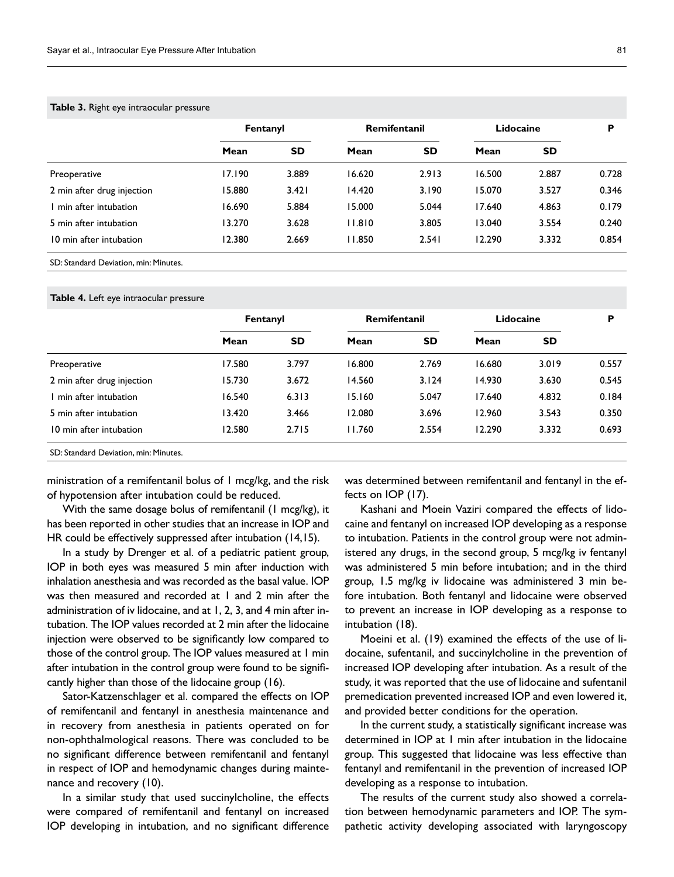### **Table 3.** Right eye intraocular pressure

| Fentanyl |           | Remifentanil |           | Lidocaine |           | P     |
|----------|-----------|--------------|-----------|-----------|-----------|-------|
| Mean     | <b>SD</b> | Mean         | <b>SD</b> | Mean      | <b>SD</b> |       |
| 17.190   | 3.889     | 16.620       | 2.913     | 16.500    | 2.887     | 0.728 |
| 15.880   | 3.421     | 14.420       | 3.190     | 15.070    | 3.527     | 0.346 |
| 16.690   | 5.884     | 15.000       | 5.044     | 17.640    | 4.863     | 0.179 |
| 13.270   | 3.628     | 11.810       | 3.805     | 13.040    | 3.554     | 0.240 |
| 12.380   | 2.669     | 11.850       | 2.541     | 12.290    | 3.332     | 0.854 |
|          |           |              |           |           |           |       |

SD: Standard Deviation, min: Minutes.

### **Table 4.** Left eye intraocular pressure

|                                       | Fentanyl |           | Remifentanil |           | Lidocaine |           | P     |
|---------------------------------------|----------|-----------|--------------|-----------|-----------|-----------|-------|
|                                       | Mean     | <b>SD</b> | Mean         | <b>SD</b> | Mean      | <b>SD</b> |       |
| Preoperative                          | 17.580   | 3.797     | 16.800       | 2.769     | 16.680    | 3.019     | 0.557 |
| 2 min after drug injection            | 15.730   | 3.672     | 14.560       | 3.124     | 14.930    | 3.630     | 0.545 |
| I min after intubation                | 16.540   | 6.313     | 15.160       | 5.047     | 17.640    | 4.832     | 0.184 |
| 5 min after intubation                | 13.420   | 3.466     | 12.080       | 3.696     | 12.960    | 3.543     | 0.350 |
| 10 min after intubation               | 12.580   | 2.715     | 11.760       | 2.554     | 12.290    | 3.332     | 0.693 |
| SD: Standard Deviation, min: Minutes. |          |           |              |           |           |           |       |

ministration of a remifentanil bolus of 1 mcg/kg, and the risk of hypotension after intubation could be reduced.

With the same dosage bolus of remifentanil (1 mcg/kg), it has been reported in other studies that an increase in IOP and HR could be effectively suppressed after intubation (14,15).

In a study by Drenger et al. of a pediatric patient group, IOP in both eyes was measured 5 min after induction with inhalation anesthesia and was recorded as the basal value. IOP was then measured and recorded at 1 and 2 min after the administration of iv lidocaine, and at 1, 2, 3, and 4 min after intubation. The IOP values recorded at 2 min after the lidocaine injection were observed to be significantly low compared to those of the control group. The IOP values measured at 1 min after intubation in the control group were found to be significantly higher than those of the lidocaine group (16).

Sator-Katzenschlager et al. compared the effects on IOP of remifentanil and fentanyl in anesthesia maintenance and in recovery from anesthesia in patients operated on for non-ophthalmological reasons. There was concluded to be no significant difference between remifentanil and fentanyl in respect of IOP and hemodynamic changes during maintenance and recovery (10).

In a similar study that used succinylcholine, the effects were compared of remifentanil and fentanyl on increased IOP developing in intubation, and no significant difference

was determined between remifentanil and fentanyl in the effects on IOP (17).

Kashani and Moein Vaziri compared the effects of lidocaine and fentanyl on increased IOP developing as a response to intubation. Patients in the control group were not administered any drugs, in the second group, 5 mcg/kg iv fentanyl was administered 5 min before intubation; and in the third group, 1.5 mg/kg iv lidocaine was administered 3 min before intubation. Both fentanyl and lidocaine were observed to prevent an increase in IOP developing as a response to intubation (18).

Moeini et al. (19) examined the effects of the use of lidocaine, sufentanil, and succinylcholine in the prevention of increased IOP developing after intubation. As a result of the study, it was reported that the use of lidocaine and sufentanil premedication prevented increased IOP and even lowered it, and provided better conditions for the operation.

In the current study, a statistically significant increase was determined in IOP at 1 min after intubation in the lidocaine group. This suggested that lidocaine was less effective than fentanyl and remifentanil in the prevention of increased IOP developing as a response to intubation.

The results of the current study also showed a correlation between hemodynamic parameters and IOP. The sympathetic activity developing associated with laryngoscopy